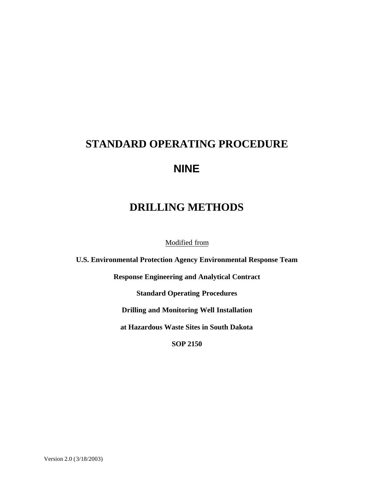# **STANDARD OPERATING PROCEDURE NINE**

# **DRILLING METHODS**

Modified from

**U.S. Environmental Protection Agency Environmental Response Team**

**Response Engineering and Analytical Contract**

**Standard Operating Procedures**

**Drilling and Monitoring Well Installation**

**at Hazardous Waste Sites in South Dakota**

**SOP 2150**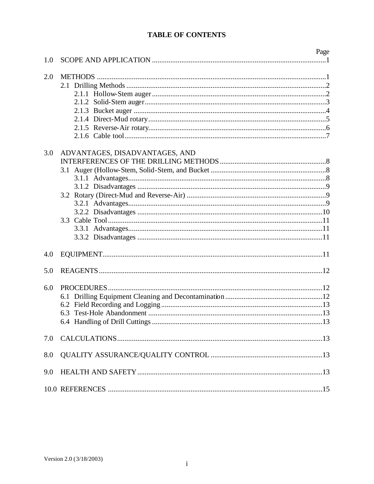# **TABLE OF CONTENTS**

|     |                                | Page |
|-----|--------------------------------|------|
| 1.0 |                                |      |
| 2.0 |                                |      |
|     |                                |      |
|     |                                |      |
|     |                                |      |
|     |                                |      |
|     |                                |      |
|     |                                |      |
|     |                                |      |
| 3.0 | ADVANTAGES, DISADVANTAGES, AND |      |
|     |                                |      |
|     |                                |      |
|     |                                |      |
|     |                                |      |
|     |                                |      |
|     |                                |      |
|     |                                |      |
|     |                                |      |
|     |                                |      |
|     |                                |      |
| 4.0 |                                |      |
| 5.0 |                                |      |
| 6.0 |                                |      |
|     |                                |      |
|     |                                |      |
|     |                                |      |
|     |                                |      |
| 7.0 |                                |      |
| 8.0 |                                |      |
| 9.0 |                                |      |
|     |                                |      |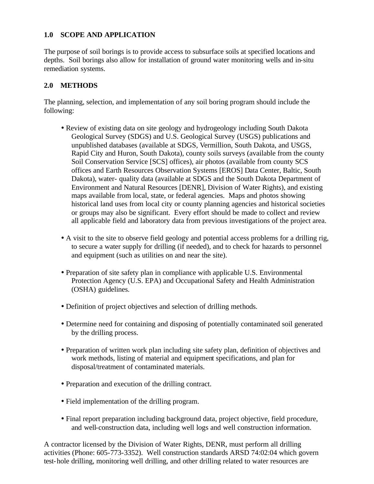#### **1.0 SCOPE AND APPLICATION**

The purpose of soil borings is to provide access to subsurface soils at specified locations and depths. Soil borings also allow for installation of ground water monitoring wells and in-situ remediation systems.

#### **2.0 METHODS**

The planning, selection, and implementation of any soil boring program should include the following:

- Review of existing data on site geology and hydrogeology including South Dakota Geological Survey (SDGS) and U.S. Geological Survey (USGS) publications and unpublished databases (available at SDGS, Vermillion, South Dakota, and USGS, Rapid City and Huron, South Dakota), county soils surveys (available from the county Soil Conservation Service [SCS] offices), air photos (available from county SCS offices and Earth Resources Observation Systems [EROS] Data Center, Baltic, South Dakota), water- quality data (available at SDGS and the South Dakota Department of Environment and Natural Resources [DENR], Division of Water Rights), and existing maps available from local, state, or federal agencies. Maps and photos showing historical land uses from local city or county planning agencies and historical societies or groups may also be significant. Every effort should be made to collect and review all applicable field and laboratory data from previous investigations of the project area.
- A visit to the site to observe field geology and potential access problems for a drilling rig, to secure a water supply for drilling (if needed), and to check for hazards to personnel and equipment (such as utilities on and near the site).
- Preparation of site safety plan in compliance with applicable U.S. Environmental Protection Agency (U.S. EPA) and Occupational Safety and Health Administration (OSHA) guidelines.
- Definition of project objectives and selection of drilling methods.
- Determine need for containing and disposing of potentially contaminated soil generated by the drilling process.
- Preparation of written work plan including site safety plan, definition of objectives and work methods, listing of material and equipment specifications, and plan for disposal/treatment of contaminated materials.
- Preparation and execution of the drilling contract.
- Field implementation of the drilling program.
- Final report preparation including background data, project objective, field procedure, and well-construction data, including well logs and well construction information.

A contractor licensed by the Division of Water Rights, DENR, must perform all drilling activities (Phone: 605-773-3352). Well construction standards ARSD 74:02:04 which govern test-hole drilling, monitoring well drilling, and other drilling related to water resources are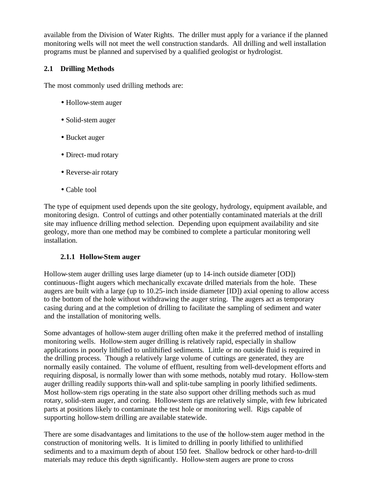available from the Division of Water Rights. The driller must apply for a variance if the planned monitoring wells will not meet the well construction standards. All drilling and well installation programs must be planned and supervised by a qualified geologist or hydrologist.

# **2.1 Drilling Methods**

The most commonly used drilling methods are:

- Hollow-stem auger
- Solid-stem auger
- Bucket auger
- Direct-mud rotary
- Reverse-air rotary
- Cable tool

The type of equipment used depends upon the site geology, hydrology, equipment available, and monitoring design. Control of cuttings and other potentially contaminated materials at the drill site may influence drilling method selection. Depending upon equipment availability and site geology, more than one method may be combined to complete a particular monitoring well installation.

# **2.1.1 Hollow-Stem auger**

Hollow-stem auger drilling uses large diameter (up to 14-inch outside diameter [OD]) continuous-flight augers which mechanically excavate drilled materials from the hole. These augers are built with a large (up to 10.25-inch inside diameter [ID]) axial opening to allow access to the bottom of the hole without withdrawing the auger string. The augers act as temporary casing during and at the completion of drilling to facilitate the sampling of sediment and water and the installation of monitoring wells.

Some advantages of hollow-stem auger drilling often make it the preferred method of installing monitoring wells. Hollow-stem auger drilling is relatively rapid, especially in shallow applications in poorly lithified to unlithified sediments. Little or no outside fluid is required in the drilling process. Though a relatively large volume of cuttings are generated, they are normally easily contained. The volume of effluent, resulting from well-development efforts and requiring disposal, is normally lower than with some methods, notably mud rotary. Hollow-stem auger drilling readily supports thin-wall and split-tube sampling in poorly lithified sediments. Most hollow-stem rigs operating in the state also support other drilling methods such as mud rotary, solid-stem auger, and coring. Hollow-stem rigs are relatively simple, with few lubricated parts at positions likely to contaminate the test hole or monitoring well. Rigs capable of supporting hollow-stem drilling are available statewide.

There are some disadvantages and limitations to the use of the hollow-stem auger method in the construction of monitoring wells. It is limited to drilling in poorly lithified to unlithified sediments and to a maximum depth of about 150 feet. Shallow bedrock or other hard-to-drill materials may reduce this depth significantly. Hollow-stem augers are prone to cross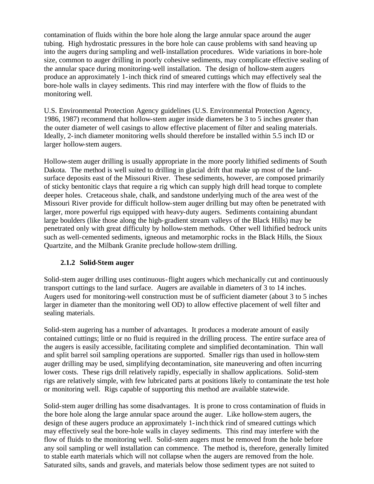contamination of fluids within the bore hole along the large annular space around the auger tubing. High hydrostatic pressures in the bore hole can cause problems with sand heaving up into the augers during sampling and well-installation procedures. Wide variations in bore-hole size, common to auger drilling in poorly cohesive sediments, may complicate effective sealing of the annular space during monitoring-well installation. The design of hollow-stem augers produce an approximately 1-inch thick rind of smeared cuttings which may effectively seal the bore-hole walls in clayey sediments. This rind may interfere with the flow of fluids to the monitoring well.

U.S. Environmental Protection Agency guidelines (U.S. Environmental Protection Agency, 1986, 1987) recommend that hollow-stem auger inside diameters be 3 to 5 inches greater than the outer diameter of well casings to allow effective placement of filter and sealing materials. Ideally, 2-inch diameter monitoring wells should therefore be installed within 5.5 inch ID or larger hollow-stem augers.

Hollow-stem auger drilling is usually appropriate in the more poorly lithified sediments of South Dakota. The method is well suited to drilling in glacial drift that make up most of the landsurface deposits east of the Missouri River. These sediments, however, are composed primarily of sticky bentonitic clays that require a rig which can supply high drill head torque to complete deeper holes. Cretaceous shale, chalk, and sandstone underlying much of the area west of the Missouri River provide for difficult hollow-stem auger drilling but may often be penetrated with larger, more powerful rigs equipped with heavy-duty augers. Sediments containing abundant large boulders (like those along the high-gradient stream valleys of the Black Hills) may be penetrated only with great difficulty by hollow-stem methods. Other well lithified bedrock units such as well-cemented sediments, igneous and metamorphic rocks in the Black Hills, the Sioux Quartzite, and the Milbank Granite preclude hollow-stem drilling.

#### **2.1.2 Solid-Stem auger**

Solid-stem auger drilling uses continuous-flight augers which mechanically cut and continuously transport cuttings to the land surface. Augers are available in diameters of 3 to 14 inches. Augers used for monitoring-well construction must be of sufficient diameter (about 3 to 5 inches larger in diameter than the monitoring well OD) to allow effective placement of well filter and sealing materials.

Solid-stem augering has a number of advantages. It produces a moderate amount of easily contained cuttings; little or no fluid is required in the drilling process. The entire surface area of the augers is easily accessible, facilitating complete and simplified decontamination. Thin wall and split barrel soil sampling operations are supported. Smaller rigs than used in hollow-stem auger drilling may be used, simplifying decontamination, site maneuvering and often incurring lower costs. These rigs drill relatively rapidly, especially in shallow applications. Solid-stem rigs are relatively simple, with few lubricated parts at positions likely to contaminate the test hole or monitoring well. Rigs capable of supporting this method are available statewide.

Solid-stem auger drilling has some disadvantages. It is prone to cross contamination of fluids in the bore hole along the large annular space around the auger. Like hollow-stem augers, the design of these augers produce an approximately 1-inch thick rind of smeared cuttings which may effectively seal the bore-hole walls in clayey sediments. This rind may interfere with the flow of fluids to the monitoring well. Solid-stem augers must be removed from the hole before any soil sampling or well installation can commence. The method is, therefore, generally limited to stable earth materials which will not collapse when the augers are removed from the hole. Saturated silts, sands and gravels, and materials below those sediment types are not suited to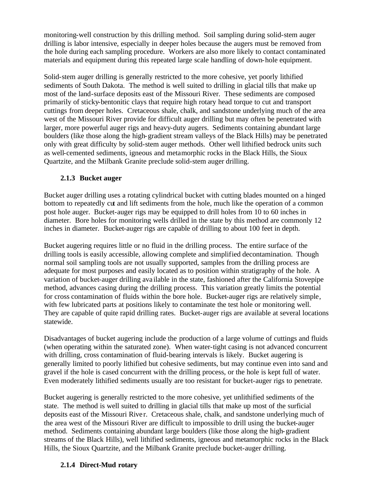monitoring-well construction by this drilling method. Soil sampling during solid-stem auger drilling is labor intensive, especially in deeper holes because the augers must be removed from the hole during each sampling procedure. Workers are also more likely to contact contaminated materials and equipment during this repeated large scale handling of down-hole equipment.

Solid-stem auger drilling is generally restricted to the more cohesive, yet poorly lithified sediments of South Dakota. The method is well suited to drilling in glacial tills that make up most of the land-surface deposits east of the Missouri River. These sediments are composed primarily of sticky-bentonitic clays that require high rotary head torque to cut and transport cuttings from deeper holes. Cretaceous shale, chalk, and sandstone underlying much of the area west of the Missouri River provide for difficult auger drilling but may often be penetrated with larger, more powerful auger rigs and heavy-duty augers. Sediments containing abundant large boulders (like those along the high-gradient stream valleys of the Black Hills) may be penetrated only with great difficulty by solid-stem auger methods. Other well lithified bedrock units such as well-cemented sediments, igneous and metamorphic rocks in the Black Hills, the Sioux Quartzite, and the Milbank Granite preclude solid-stem auger drilling.

#### **2.1.3 Bucket auger**

Bucket auger drilling uses a rotating cylindrical bucket with cutting blades mounted on a hinged bottom to repeatedly cut and lift sediments from the hole, much like the operation of a common post hole auger. Bucket-auger rigs may be equipped to drill holes from 10 to 60 inches in diameter. Bore holes for monitoring wells drilled in the state by this method are commonly 12 inches in diameter. Bucket-auger rigs are capable of drilling to about 100 feet in depth.

Bucket augering requires little or no fluid in the drilling process. The entire surface of the drilling tools is easily accessible, allowing complete and simplified decontamination. Though normal soil sampling tools are not usually supported, samples from the drilling process are adequate for most purposes and easily located as to position within stratigraphy of the hole. A variation of bucket-auger drilling ava ilable in the state, fashioned after the California Stovepipe method, advances casing during the drilling process. This variation greatly limits the potential for cross contamination of fluids within the bore hole. Bucket-auger rigs are relatively simple, with few lubricated parts at positions likely to contaminate the test hole or monitoring well. They are capable of quite rapid drilling rates. Bucket-auger rigs are available at several locations statewide.

Disadvantages of bucket augering include the production of a large volume of cuttings and fluids (when operating within the saturated zone). When water-tight casing is not advanced concurrent with drilling, cross contamination of fluid-bearing intervals is likely. Bucket augering is generally limited to poorly lithified but cohesive sediments, but may continue even into sand and gravel if the hole is cased concurrent with the drilling process, or the hole is kept full of water. Even moderately lithified sediments usually are too resistant for bucket-auger rigs to penetrate.

Bucket augering is generally restricted to the more cohesive, yet unlithified sediments of the state. The method is well suited to drilling in glacial tills that make up most of the surficial deposits east of the Missouri River. Cretaceous shale, chalk, and sandstone underlying much of the area west of the Missouri River are difficult to impossible to drill using the bucket-auger method. Sediments containing abundant large boulders (like those along the high-gradient streams of the Black Hills), well lithified sediments, igneous and metamorphic rocks in the Black Hills, the Sioux Quartzite, and the Milbank Granite preclude bucket-auger drilling.

#### **2.1.4 Direct-Mud rotary**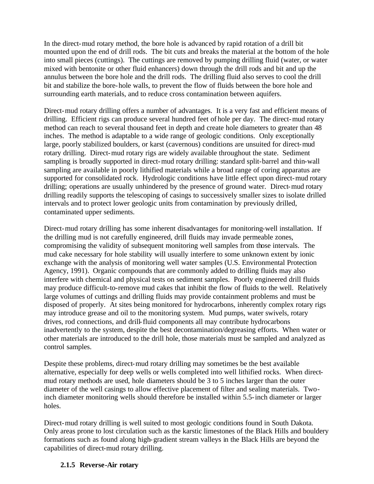In the direct-mud rotary method, the bore hole is advanced by rapid rotation of a drill bit mounted upon the end of drill rods. The bit cuts and breaks the material at the bottom of the hole into small pieces (cuttings). The cuttings are removed by pumping drilling fluid (water, or water mixed with bentonite or other fluid enhancers) down through the drill rods and bit and up the annulus between the bore hole and the drill rods. The drilling fluid also serves to cool the drill bit and stabilize the bore-hole walls, to prevent the flow of fluids between the bore hole and surrounding earth materials, and to reduce cross contamination between aquifers.

Direct-mud rotary drilling offers a number of advantages. It is a very fast and efficient means of drilling. Efficient rigs can produce several hundred feet of hole per day. The direct-mud rotary method can reach to several thousand feet in depth and create hole diameters to greater than 48 inches. The method is adaptable to a wide range of geologic conditions. Only exceptionally large, poorly stabilized boulders, or karst (cavernous) conditions are unsuited for direct-mud rotary drilling. Direct-mud rotary rigs are widely available throughout the state. Sediment sampling is broadly supported in direct-mud rotary drilling: standard split-barrel and thin-wall sampling are available in poorly lithified materials while a broad range of coring apparatus are supported for consolidated rock. Hydrologic conditions have little effect upon direct-mud rotary drilling; operations are usually unhindered by the presence of ground water. Direct-mud rotary drilling readily supports the telescoping of casings to successively smaller sizes to isolate drilled intervals and to protect lower geologic units from contamination by previously drilled, contaminated upper sediments.

Direct-mud rotary drilling has some inherent disadvantages for monitoring-well installation. If the drilling mud is not carefully engineered, drill fluids may invade permeable zones, compromising the validity of subsequent monitoring well samples from those intervals. The mud cake necessary for hole stability will usually interfere to some unknown extent by ionic exchange with the analysis of monitoring well water samples (U.S. Environmental Protection Agency, 1991). Organic compounds that are commonly added to drilling fluids may also interfere with chemical and physical tests on sediment samples. Poorly engineered drill fluids may produce difficult-to-remove mud cakes that inhibit the flow of fluids to the well. Relatively large volumes of cuttings and drilling fluids may provide containment problems and must be disposed of properly. At sites being monitored for hydrocarbons, inherently complex rotary rigs may introduce grease and oil to the monitoring system. Mud pumps, water swivels, rotary drives, rod connections, and drill-fluid components all may contribute hydrocarbons inadvertently to the system, despite the best decontamination/degreasing efforts. When water or other materials are introduced to the drill hole, those materials must be sampled and analyzed as control samples.

Despite these problems, direct-mud rotary drilling may sometimes be the best available alternative, especially for deep wells or wells completed into well lithified rocks. When directmud rotary methods are used, hole diameters should be 3 to 5 inches larger than the outer diameter of the well casings to allow effective placement of filter and sealing materials. Twoinch diameter monitoring wells should therefore be installed within 5.5-inch diameter or larger holes.

Direct-mud rotary drilling is well suited to most geologic conditions found in South Dakota. Only areas prone to lost circulation such as the karstic limestones of the Black Hills and bouldery formations such as found along high-gradient stream valleys in the Black Hills are beyond the capabilities of direct-mud rotary drilling.

#### **2.1.5 Reverse-Air rotary**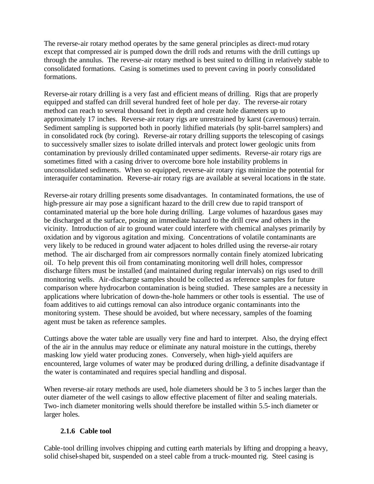The reverse-air rotary method operates by the same general principles as direct-mud rotary except that compressed air is pumped down the drill rods and returns with the drill cuttings up through the annulus. The reverse-air rotary method is best suited to drilling in relatively stable to consolidated formations. Casing is sometimes used to prevent caving in poorly consolidated formations.

Reverse-air rotary drilling is a very fast and efficient means of drilling. Rigs that are properly equipped and staffed can drill several hundred feet of hole per day. The reverse-air rotary method can reach to several thousand feet in depth and create hole diameters up to approximately 17 inches. Reverse-air rotary rigs are unrestrained by karst (cavernous) terrain. Sediment sampling is supported both in poorly lithified materials (by split-barrel samplers) and in consolidated rock (by coring). Reverse-air rotary drilling supports the telescoping of casings to successively smaller sizes to isolate drilled intervals and protect lower geologic units from contamination by previously drilled contaminated upper sediments. Reverse-air rotary rigs are sometimes fitted with a casing driver to overcome bore hole instability problems in unconsolidated sediments. When so equipped, reverse-air rotary rigs minimize the potential for interaquifer contamination. Reverse-air rotary rigs are available at several locations in the state.

Reverse-air rotary drilling presents some disadvantages. In contaminated formations, the use of high-pressure air may pose a significant hazard to the drill crew due to rapid transport of contaminated material up the bore hole during drilling. Large volumes of hazardous gases may be discharged at the surface, posing an immediate hazard to the drill crew and others in the vicinity. Introduction of air to ground water could interfere with chemical analyses primarily by oxidation and by vigorous agitation and mixing. Concentrations of volatile contaminants are very likely to be reduced in ground water adjacent to holes drilled using the reverse-air rotary method. The air discharged from air compressors normally contain finely atomized lubricating oil. To help prevent this oil from contaminating monitoring well drill holes, compressor discharge filters must be installed (and maintained during regular intervals) on rigs used to drill monitoring wells. Air-discharge samples should be collected as reference samples for future comparison where hydrocarbon contamination is being studied. These samples are a necessity in applications where lubrication of down-the-hole hammers or other tools is essential. The use of foam additives to aid cuttings removal can also introduce organic contaminants into the monitoring system. These should be avoided, but where necessary, samples of the foaming agent must be taken as reference samples.

Cuttings above the water table are usually very fine and hard to interpret. Also, the drying effect of the air in the annulus may reduce or eliminate any natural moisture in the cuttings, thereby masking low yield water producing zones. Conversely, when high-yield aquifers are encountered, large volumes of water may be produced during drilling, a definite disadvantage if the water is contaminated and requires special handling and disposal.

When reverse-air rotary methods are used, hole diameters should be 3 to 5 inches larger than the outer diameter of the well casings to allow effective placement of filter and sealing materials. Two-inch diameter monitoring wells should therefore be installed within 5.5-inch diameter or larger holes.

#### **2.1.6 Cable tool**

Cable-tool drilling involves chipping and cutting earth materials by lifting and dropping a heavy, solid chisel-shaped bit, suspended on a steel cable from a truck-mounted rig. Steel casing is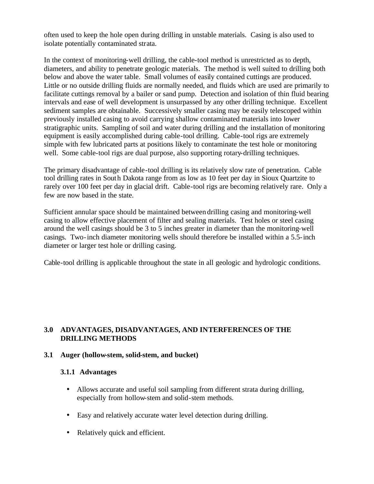often used to keep the hole open during drilling in unstable materials. Casing is also used to isolate potentially contaminated strata.

In the context of monitoring-well drilling, the cable-tool method is unrestricted as to depth, diameters, and ability to penetrate geologic materials. The method is well suited to drilling both below and above the water table. Small volumes of easily contained cuttings are produced. Little or no outside drilling fluids are normally needed, and fluids which are used are primarily to facilitate cuttings removal by a bailer or sand pump. Detection and isolation of thin fluid bearing intervals and ease of well development is unsurpassed by any other drilling technique. Excellent sediment samples are obtainable. Successively smaller casing may be easily telescoped within previously installed casing to avoid carrying shallow contaminated materials into lower stratigraphic units. Sampling of soil and water during drilling and the installation of monitoring equipment is easily accomplished during cable-tool drilling. Cable-tool rigs are extremely simple with few lubricated parts at positions likely to contaminate the test hole or monitoring well. Some cable-tool rigs are dual purpose, also supporting rotary-drilling techniques.

The primary disadvantage of cable-tool drilling is its relatively slow rate of penetration. Cable tool drilling rates in South Dakota range from as low as 10 feet per day in Sioux Quartzite to rarely over 100 feet per day in glacial drift. Cable-tool rigs are becoming relatively rare. Only a few are now based in the state.

Sufficient annular space should be maintained between drilling casing and monitoring-well casing to allow effective placement of filter and sealing materials. Test holes or steel casing around the well casings should be 3 to 5 inches greater in diameter than the monitoring-well casings. Two-inch diameter monitoring wells should therefore be installed within a 5.5-inch diameter or larger test hole or drilling casing.

Cable-tool drilling is applicable throughout the state in all geologic and hydrologic conditions.

#### **3.0 ADVANTAGES, DISADVANTAGES, AND INTERFERENCES OF THE DRILLING METHODS**

#### **3.1 Auger (hollow-stem, solid-stem, and bucket)**

#### **3.1.1 Advantages**

- Allows accurate and useful soil sampling from different strata during drilling, especially from hollow-stem and solid-stem methods.
- Easy and relatively accurate water level detection during drilling.
- Relatively quick and efficient.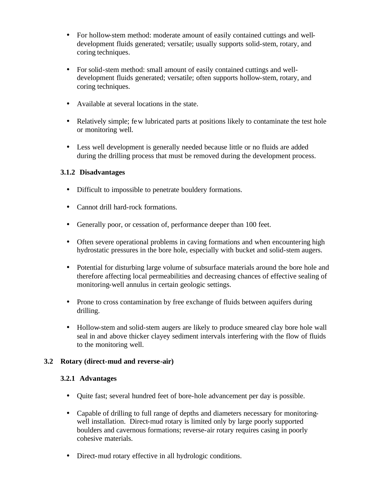- For hollow-stem method: moderate amount of easily contained cuttings and welldevelopment fluids generated; versatile; usually supports solid-stem, rotary, and coring techniques.
- For solid-stem method: small amount of easily contained cuttings and welldevelopment fluids generated; versatile; often supports hollow-stem, rotary, and coring techniques.
- Available at several locations in the state.
- Relatively simple; few lubricated parts at positions likely to contaminate the test hole or monitoring well.
- Less well development is generally needed because little or no fluids are added during the drilling process that must be removed during the development process.

#### **3.1.2 Disadvantages**

- Difficult to impossible to penetrate bouldery formations.
- Cannot drill hard-rock formations.
- Generally poor, or cessation of, performance deeper than 100 feet.
- Often severe operational problems in caving formations and when encountering high hydrostatic pressures in the bore hole, especially with bucket and solid-stem augers.
- Potential for disturbing large volume of subsurface materials around the bore hole and therefore affecting local permeabilities and decreasing chances of effective sealing of monitoring-well annulus in certain geologic settings.
- Prone to cross contamination by free exchange of fluids between aquifers during drilling.
- Hollow-stem and solid-stem augers are likely to produce smeared clay bore hole wall seal in and above thicker clayey sediment intervals interfering with the flow of fluids to the monitoring well.

#### **3.2 Rotary (direct-mud and reverse-air)**

#### **3.2.1 Advantages**

- Quite fast; several hundred feet of bore-hole advancement per day is possible.
- Capable of drilling to full range of depths and diameters necessary for monitoringwell installation. Direct-mud rotary is limited only by large poorly supported boulders and cavernous formations; reverse-air rotary requires casing in poorly cohesive materials.
- Direct-mud rotary effective in all hydrologic conditions.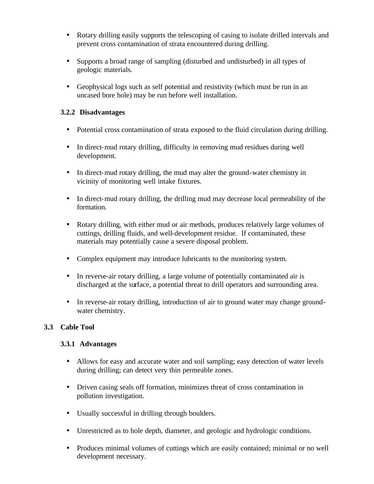- Rotary drilling easily supports the telescoping of casing to isolate drilled intervals and prevent cross contamination of strata encountered during drilling.
- Supports a broad range of sampling (disturbed and undisturbed) in all types of geologic materials.
- Geophysical logs such as self potential and resistivity (which must be run in an uncased bore hole) may be run before well installation.

#### **3.2.2 Disadvantages**

- Potential cross contamination of strata exposed to the fluid circulation during drilling.
- In direct-mud rotary drilling, difficulty in removing mud residues during well development.
- In direct-mud rotary drilling, the mud may alter the ground-water chemistry in vicinity of monitoring well intake fixtures.
- In direct-mud rotary drilling, the drilling mud may decrease local permeability of the formation.
- Rotary drilling, with either mud or air methods, produces relatively large volumes of cuttings, drilling fluids, and well-development residue. If contaminated, these materials may potentially cause a severe disposal problem.
- Complex equipment may introduce lubricants to the monitoring system.
- In reverse-air rotary drilling, a large volume of potentially contaminated air is discharged at the surface, a potential threat to drill operators and surrounding area.
- In reverse-air rotary drilling, introduction of air to ground water may change groundwater chemistry.

# **3.3 Cable Tool**

#### **3.3.1 Advantages**

- Allows for easy and accurate water and soil sampling; easy detection of water levels during drilling; can detect very thin permeable zones.
- Driven casing seals off formation, minimizes threat of cross contamination in pollution investigation.
- Usually successful in drilling through boulders.
- Unrestricted as to hole depth, diameter, and geologic and hydrologic conditions.
- Produces minimal volumes of cuttings which are easily contained; minimal or no well development necessary.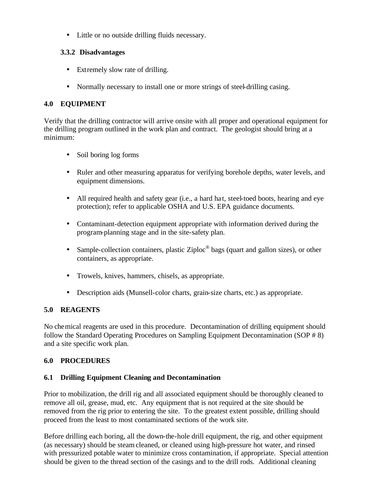• Little or no outside drilling fluids necessary.

# **3.3.2 Disadvantages**

- Extremely slow rate of drilling.
- Normally necessary to install one or more strings of steel-drilling casing.

# **4.0 EQUIPMENT**

Verify that the drilling contractor will arrive onsite with all proper and operational equipment for the drilling program outlined in the work plan and contract. The geologist should bring at a minimum:

- Soil boring log forms
- Ruler and other measuring apparatus for verifying borehole depths, water levels, and equipment dimensions.
- All required health and safety gear (i.e., a hard hat, steel-toed boots, hearing and eye protection); refer to applicable OSHA and U.S. EPA guidance documents.
- Contaminant-detection equipment appropriate with information derived during the program-planning stage and in the site-safety plan.
- Sample-collection containers, plastic Ziploc $^{\circ}$  bags (quart and gallon sizes), or other containers, as appropriate.
- Trowels, knives, hammers, chisels, as appropriate.
- Description aids (Munsell-color charts, grain-size charts, etc.) as appropriate.

# **5.0 REAGENTS**

No chemical reagents are used in this procedure. Decontamination of drilling equipment should follow the Standard Operating Procedures on Sampling Equipment Decontamination (SOP # 8) and a site specific work plan.

#### **6.0 PROCEDURES**

#### **6.1 Drilling Equipment Cleaning and Decontamination**

Prior to mobilization, the drill rig and all associated equipment should be thoroughly cleaned to remove all oil, grease, mud, etc. Any equipment that is not required at the site should be removed from the rig prior to entering the site. To the greatest extent possible, drilling should proceed from the least to most contaminated sections of the work site.

Before drilling each boring, all the down-the-hole drill equipment, the rig, and other equipment (as necessary) should be steam cleaned, or cleaned using high-pressure hot water, and rinsed with pressurized potable water to minimize cross contamination, if appropriate. Special attention should be given to the thread section of the casings and to the drill rods. Additional cleaning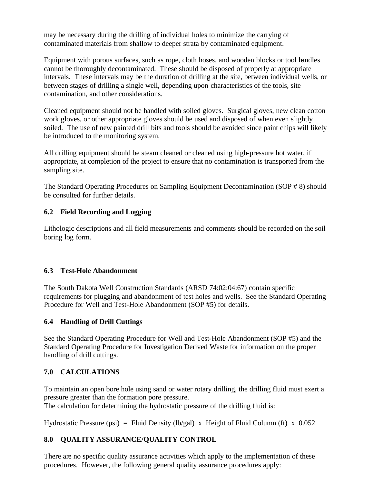may be necessary during the drilling of individual holes to minimize the carrying of contaminated materials from shallow to deeper strata by contaminated equipment.

Equipment with porous surfaces, such as rope, cloth hoses, and wooden blocks or tool handles cannot be thoroughly decontaminated. These should be disposed of properly at appropriate intervals. These intervals may be the duration of drilling at the site, between individual wells, or between stages of drilling a single well, depending upon characteristics of the tools, site contamination, and other considerations.

Cleaned equipment should not be handled with soiled gloves. Surgical gloves, new clean cotton work gloves, or other appropriate gloves should be used and disposed of when even slightly soiled. The use of new painted drill bits and tools should be avoided since paint chips will likely be introduced to the monitoring system.

All drilling equipment should be steam cleaned or cleaned using high-pressure hot water, if appropriate, at completion of the project to ensure that no contamination is transported from the sampling site.

The Standard Operating Procedures on Sampling Equipment Decontamination (SOP # 8) should be consulted for further details.

# **6.2 Field Recording and Logging**

Lithologic descriptions and all field measurements and comments should be recorded on the soil boring log form.

#### **6.3 Test-Hole Abandonment**

The South Dakota Well Construction Standards (ARSD 74:02:04:67) contain specific requirements for plugging and abandonment of test holes and wells. See the Standard Operating Procedure for Well and Test-Hole Abandonment (SOP #5) for details.

#### **6.4 Handling of Drill Cuttings**

See the Standard Operating Procedure for Well and Test-Hole Abandonment (SOP #5) and the Standard Operating Procedure for Investigation Derived Waste for information on the proper handling of drill cuttings.

# **7.0 CALCULATIONS**

To maintain an open bore hole using sand or water rotary drilling, the drilling fluid must exert a pressure greater than the formation pore pressure.

The calculation for determining the hydrostatic pressure of the drilling fluid is:

Hydrostatic Pressure (psi) = Fluid Density (lb/gal) x Height of Fluid Column (ft) x  $0.052$ 

# **8.0 QUALITY ASSURANCE/QUALITY CONTROL**

There are no specific quality assurance activities which apply to the implementation of these procedures. However, the following general quality assurance procedures apply: